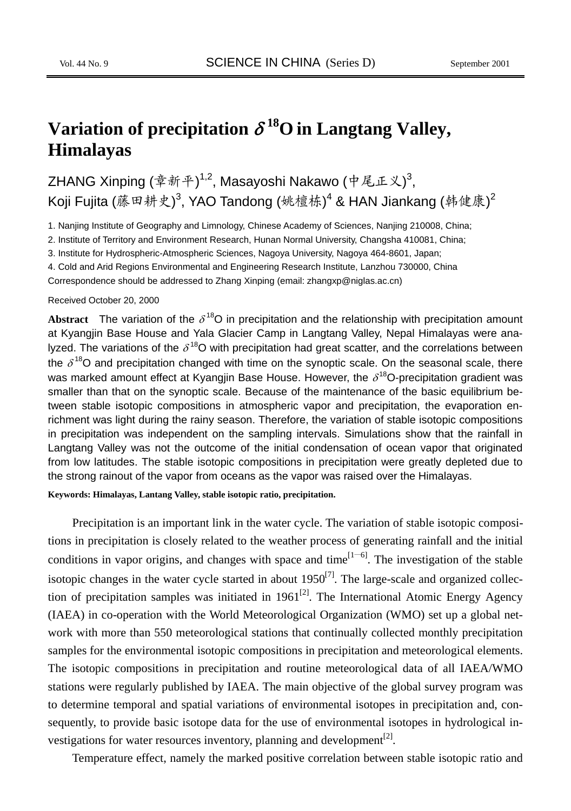# **Variation of precipitation**  $\delta^{18}$ **O** in Langtang Valley, **Himalayas**

ZHANG Xinping (章新平)<sup>1,2</sup>, Masayoshi Nakawo (中尾正义)<sup>3</sup>, Koji Fujita (藤田耕史) $^3$ , YAO Tandong (姚檀栋) $^4$  & HAN Jiankang (韩健康) $^2$ 

1. Nanjing Institute of Geography and Limnology, Chinese Academy of Sciences, Nanjing 210008, China;

2. Institute of Territory and Environment Research, Hunan Normal University, Changsha 410081, China;

3. Institute for Hydrospheric-Atmospheric Sciences, Nagoya University, Nagoya 464-8601, Japan;

4. Cold and Arid Regions Environmental and Engineering Research Institute, Lanzhou 730000, China

Correspondence should be addressed to Zhang Xinping (email: zhangxp@niglas.ac.cn)

#### Received October 20, 2000

**Abstract** The variation of the  $\delta^{18}$ O in precipitation and the relationship with precipitation amount at Kyangjin Base House and Yala Glacier Camp in Langtang Valley, Nepal Himalayas were analyzed. The variations of the  $\delta^{18}$ O with precipitation had great scatter, and the correlations between the  $\delta^{18}$ O and precipitation changed with time on the synoptic scale. On the seasonal scale, there was marked amount effect at Kyangjin Base House. However, the  $\delta^{18}$ O-precipitation gradient was smaller than that on the synoptic scale. Because of the maintenance of the basic equilibrium between stable isotopic compositions in atmospheric vapor and precipitation, the evaporation enrichment was light during the rainy season. Therefore, the variation of stable isotopic compositions in precipitation was independent on the sampling intervals. Simulations show that the rainfall in Langtang Valley was not the outcome of the initial condensation of ocean vapor that originated from low latitudes. The stable isotopic compositions in precipitation were greatly depleted due to the strong rainout of the vapor from oceans as the vapor was raised over the Himalayas.

**Keywords: Himalayas, Lantang Valley, stable isotopic ratio, precipitation.** 

Precipitation is an important link in the water cycle. The variation of stable isotopic compositions in precipitation is closely related to the weather process of generating rainfall and the initial conditions in vapor origins, and changes with space and time $[1-6]$ . The investigation of the stable isotopic changes in the water cycle started in about  $1950^{[7]}$ . The large-scale and organized collection of precipitation samples was initiated in  $1961^{[2]}$ . The International Atomic Energy Agency (IAEA) in co-operation with the World Meteorological Organization (WMO) set up a global network with more than 550 meteorological stations that continually collected monthly precipitation samples for the environmental isotopic compositions in precipitation and meteorological elements. The isotopic compositions in precipitation and routine meteorological data of all IAEA/WMO stations were regularly published by IAEA. The main objective of the global survey program was to determine temporal and spatial variations of environmental isotopes in precipitation and, consequently, to provide basic isotope data for the use of environmental isotopes in hydrological investigations for water resources inventory, planning and development $[2]$ .

Temperature effect, namely the marked positive correlation between stable isotopic ratio and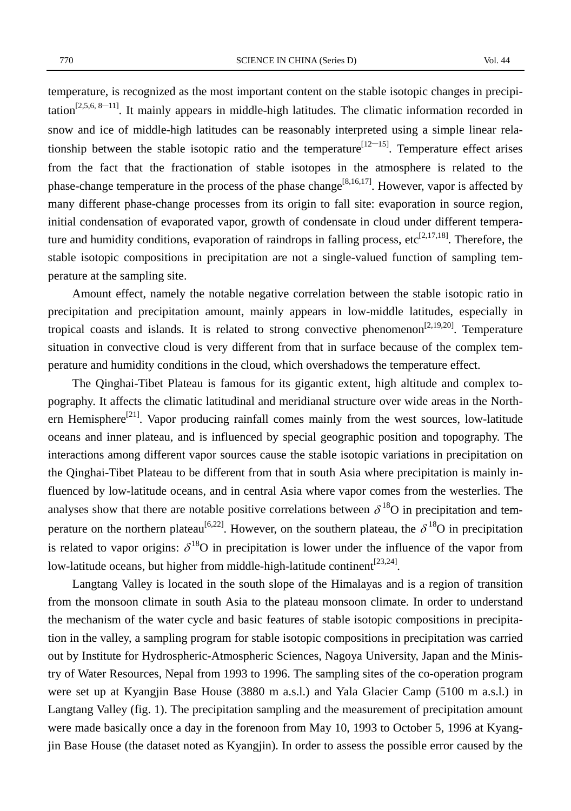770 SCIENCE IN CHINA (Series D) Vol. 44

temperature, is recognized as the most important content on the stable isotopic changes in precipitation<sup>[2,5,6, 8–11]</sup>. It mainly appears in middle-high latitudes. The climatic information recorded in snow and ice of middle-high latitudes can be reasonably interpreted using a simple linear relationship between the stable isotopic ratio and the temperature<sup>[12–15]</sup>. Temperature effect arises from the fact that the fractionation of stable isotopes in the atmosphere is related to the phase-change temperature in the process of the phase change<sup>[8,16,17]</sup>. However, vapor is affected by many different phase-change processes from its origin to fall site: evaporation in source region, initial condensation of evaporated vapor, growth of condensate in cloud under different temperature and humidity conditions, evaporation of raindrops in falling process, etc<sup>[2,17,18]</sup>. Therefore, the stable isotopic compositions in precipitation are not a single-valued function of sampling temperature at the sampling site.

Amount effect, namely the notable negative correlation between the stable isotopic ratio in precipitation and precipitation amount, mainly appears in low-middle latitudes, especially in tropical coasts and islands. It is related to strong convective phenomenon<sup>[2,19,20]</sup>. Temperature situation in convective cloud is very different from that in surface because of the complex temperature and humidity conditions in the cloud, which overshadows the temperature effect.

The Qinghai-Tibet Plateau is famous for its gigantic extent, high altitude and complex topography. It affects the climatic latitudinal and meridianal structure over wide areas in the Northern Hemisphere<sup>[21]</sup>. Vapor producing rainfall comes mainly from the west sources, low-latitude oceans and inner plateau, and is influenced by special geographic position and topography. The interactions among different vapor sources cause the stable isotopic variations in precipitation on the Qinghai-Tibet Plateau to be different from that in south Asia where precipitation is mainly influenced by low-latitude oceans, and in central Asia where vapor comes from the westerlies. The analyses show that there are notable positive correlations between  $\delta^{18}O$  in precipitation and temperature on the northern plateau<sup>[6,22]</sup>. However, on the southern plateau, the  $\delta^{18}O$  in precipitation is related to vapor origins:  $\delta^{18}O$  in precipitation is lower under the influence of the vapor from low-latitude oceans, but higher from middle-high-latitude continent<sup>[23,24]</sup>.

Langtang Valley is located in the south slope of the Himalayas and is a region of transition from the monsoon climate in south Asia to the plateau monsoon climate. In order to understand the mechanism of the water cycle and basic features of stable isotopic compositions in precipitation in the valley, a sampling program for stable isotopic compositions in precipitation was carried out by Institute for Hydrospheric-Atmospheric Sciences, Nagoya University, Japan and the Ministry of Water Resources, Nepal from 1993 to 1996. The sampling sites of the co-operation program were set up at Kyangjin Base House (3880 m a.s.l.) and Yala Glacier Camp (5100 m a.s.l.) in Langtang Valley (fig. 1). The precipitation sampling and the measurement of precipitation amount were made basically once a day in the forenoon from May 10, 1993 to October 5, 1996 at Kyangjin Base House (the dataset noted as Kyangjin). In order to assess the possible error caused by the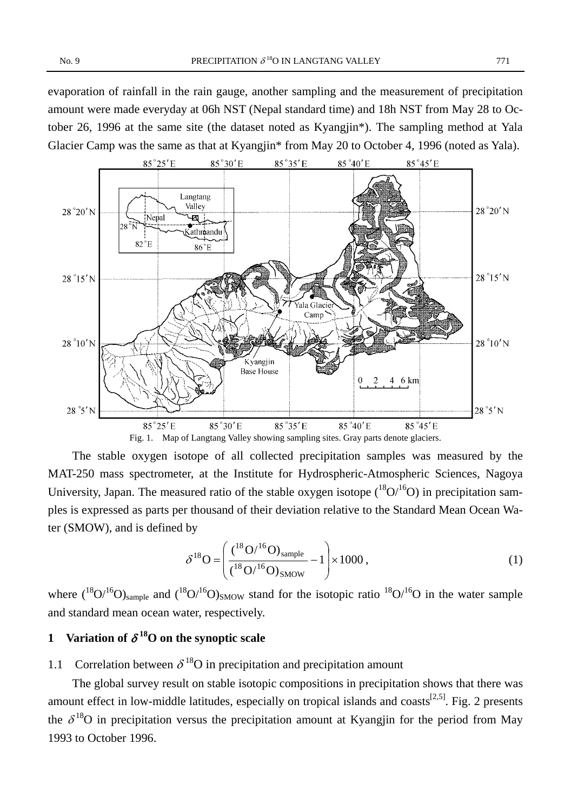evaporation of rainfall in the rain gauge, another sampling and the measurement of precipitation amount were made everyday at 06h NST (Nepal standard time) and 18h NST from May 28 to October 26, 1996 at the same site (the dataset noted as Kyangjin\*). The sampling method at Yala Glacier Camp was the same as that at Kyangjin\* from May 20 to October 4, 1996 (noted as Yala).



The stable oxygen isotope of all collected precipitation samples was measured by the MAT-250 mass spectrometer, at the Institute for Hydrospheric-Atmospheric Sciences, Nagoya University, Japan. The measured ratio of the stable oxygen isotope  $({}^{18}O^{16}O)$  in precipitation samples is expressed as parts per thousand of their deviation relative to the Standard Mean Ocean Water (SMOW), and is defined by

$$
\delta^{18} \mathbf{O} = \left( \frac{\left( \frac{18}{16} \mathbf{O} \right)^{16} \mathbf{O}_{\text{sample}}}{\left( \frac{18}{16} \mathbf{O} \right)^{16} \mathbf{O}_{\text{SMOW}}} - 1 \right) \times 1000 , \tag{1}
$$

where  $({}^{18}O/{}^{16}O)_{sample}$  and  $({}^{18}O/{}^{16}O)_{8MOW}$  stand for the isotopic ratio  ${}^{18}O/{}^{16}O$  in the water sample and standard mean ocean water, respectively.

## **1** Variation of  $\delta^{18}$ O on the synoptic scale

1.1 Correlation between  $\delta^{18}$ O in precipitation and precipitation amount

The global survey result on stable isotopic compositions in precipitation shows that there was amount effect in low-middle latitudes, especially on tropical islands and coasts<sup>[2,5]</sup>. Fig. 2 presents the  $\delta^{18}$ O in precipitation versus the precipitation amount at Kyangjin for the period from May 1993 to October 1996.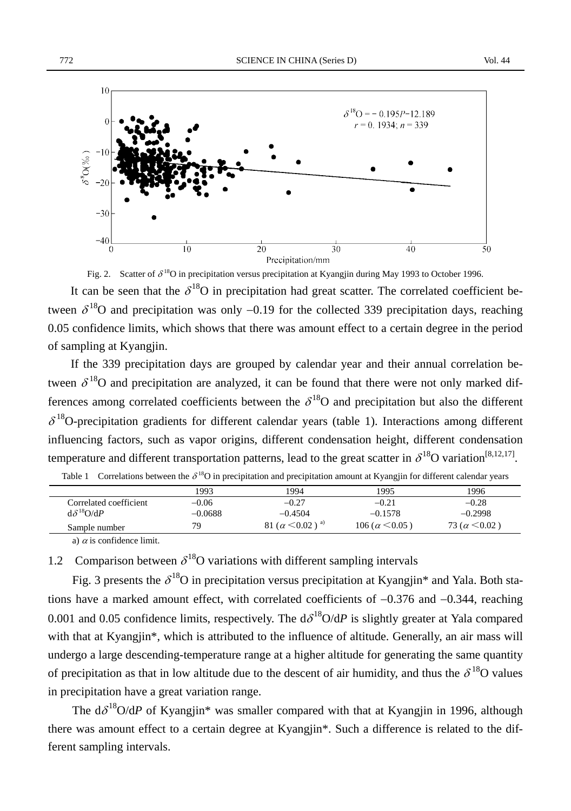

Fig. 2. Scatter of  $\delta^{18}O$  in precipitation versus precipitation at Kyangjin during May 1993 to October 1996.

It can be seen that the  $\delta^{18}O$  in precipitation had great scatter. The correlated coefficient between  $\delta^{18}$ O and precipitation was only -0.19 for the collected 339 precipitation days, reaching 0.05 confidence limits, which shows that there was amount effect to a certain degree in the period of sampling at Kyangjin.

If the 339 precipitation days are grouped by calendar year and their annual correlation between  $\delta^{18}$ O and precipitation are analyzed, it can be found that there were not only marked differences among correlated coefficients between the  $\delta^{18}O$  and precipitation but also the different  $\delta^{18}$ O-precipitation gradients for different calendar years (table 1). Interactions among different influencing factors, such as vapor origins, different condensation height, different condensation temperature and different transportation patterns, lead to the great scatter in  $\delta^{18}O$  variation<sup>[8,12,17]</sup>.

|                        | 1993      | 1994                                | 1995               | 1996                  |
|------------------------|-----------|-------------------------------------|--------------------|-----------------------|
| Correlated coefficient | $-0.06$   | $-0.27$                             | $-0.21$            | $-0.28$               |
| $d\delta^{18}O/dP$     | $-0.0688$ | $-0.4504$                           | $-0.1578$          | $-0.2998$             |
| Sample number          | 79        | 81 ( $\alpha$ < 0.02) <sup>a)</sup> | $106 (a \le 0.05)$ | 73 ( $\alpha$ < 0.02) |
|                        |           |                                     |                    |                       |

|  | Table 1 Correlations between the $\delta^{18}O$ in precipitation and precipitation amount at Kyangjin for different calendar years |  |  |  |  |
|--|------------------------------------------------------------------------------------------------------------------------------------|--|--|--|--|
|--|------------------------------------------------------------------------------------------------------------------------------------|--|--|--|--|

a)  $\alpha$  is confidence limit.

### 1.2 Comparison between  $\delta^{18}$ O variations with different sampling intervals

Fig. 3 presents the  $\delta^{18}O$  in precipitation versus precipitation at Kyangjin\* and Yala. Both stations have a marked amount effect, with correlated coefficients of −0.376 and −0.344, reaching 0.001 and 0.05 confidence limits, respectively. The  $d\delta^{18}O/dP$  is slightly greater at Yala compared with that at Kyangjin\*, which is attributed to the influence of altitude. Generally, an air mass will undergo a large descending-temperature range at a higher altitude for generating the same quantity of precipitation as that in low altitude due to the descent of air humidity, and thus the  $\delta^{18}O$  values in precipitation have a great variation range.

The  $d\delta^{18}O/dP$  of Kyangjin\* was smaller compared with that at Kyangjin in 1996, although there was amount effect to a certain degree at Kyangjin\*. Such a difference is related to the different sampling intervals.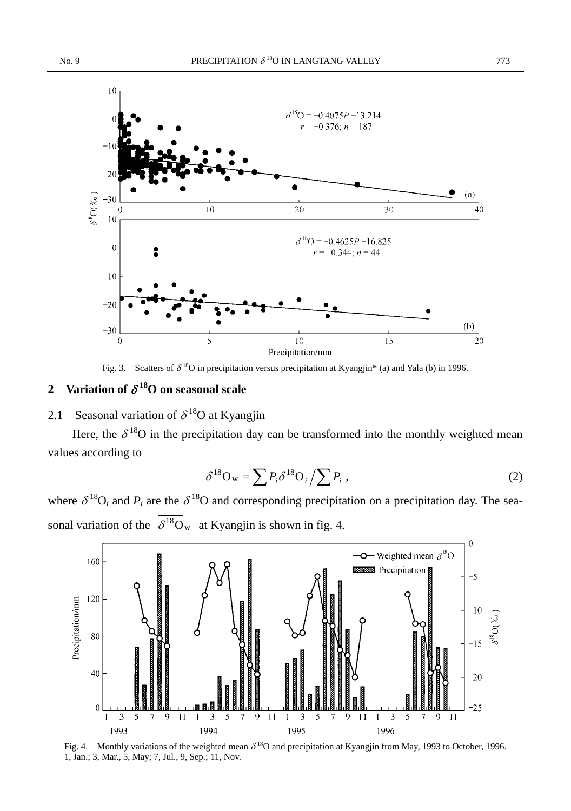

Fig. 3. Scatters of  $\delta^{18}O$  in precipitation versus precipitation at Kyangjin\* (a) and Yala (b) in 1996.

### **2** Variation of  $\delta^{18}$ O on seasonal scale

### 2.1 Seasonal variation of  $\delta^{18}$ O at Kyangjin

Here, the  $\delta^{18}$ O in the precipitation day can be transformed into the monthly weighted mean values according to

$$
\overline{\delta^{18}O_w} = \sum P_i \delta^{18} O_i / \sum P_i , \qquad (2)
$$

where  $\delta^{18}O_i$  and  $P_i$  are the  $\delta^{18}O$  and corresponding precipitation on a precipitation day. The seasonal variation of the  $\overline{\delta^{18}O_w}$  at Kyangjin is shown in fig. 4.



Fig. 4. Monthly variations of the weighted mean  $\delta^{18}$ O and precipitation at Kyangjin from May, 1993 to October, 1996. 1, Jan.; 3, Mar., 5, May; 7, Jul., 9, Sep.; 11, Nov.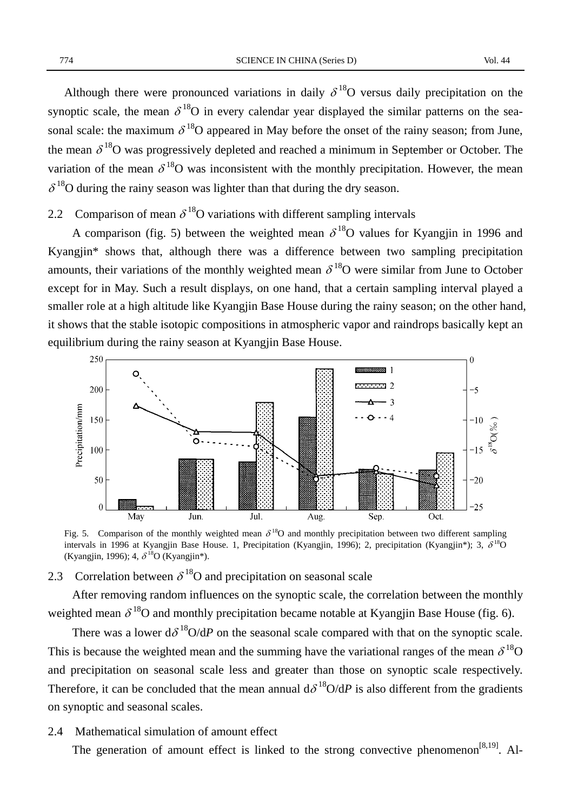Although there were pronounced variations in daily  $\delta^{18}$ O versus daily precipitation on the synoptic scale, the mean  $\delta^{18}O$  in every calendar year displayed the similar patterns on the seasonal scale: the maximum  $\delta^{18}$ O appeared in May before the onset of the rainy season; from June, the mean  $\delta^{18}$ O was progressively depleted and reached a minimum in September or October. The variation of the mean  $\delta^{18}$ O was inconsistent with the monthly precipitation. However, the mean  $\delta^{18}$ O during the rainy season was lighter than that during the dry season.

### 2.2 Comparison of mean  $\delta^{18}$ O variations with different sampling intervals

A comparison (fig. 5) between the weighted mean  $\delta^{18}$ O values for Kyangjin in 1996 and Kyangjin\* shows that, although there was a difference between two sampling precipitation amounts, their variations of the monthly weighted mean  $\delta^{18}$ O were similar from June to October except for in May. Such a result displays, on one hand, that a certain sampling interval played a smaller role at a high altitude like Kyangjin Base House during the rainy season; on the other hand, it shows that the stable isotopic compositions in atmospheric vapor and raindrops basically kept an equilibrium during the rainy season at Kyangjin Base House.



Fig. 5. Comparison of the monthly weighted mean  $\delta^{18}$ O and monthly precipitation between two different sampling intervals in 1996 at Kyangjin Base House. 1, Precipitation (Kyangjin, 1996); 2, precipitation (Kyangjin\*); 3,  $\delta^{18}$ O (Kyangjin, 1996); 4,  $\delta^{18}$ O (Kyangjin\*).

#### 2.3 Correlation between  $\delta^{18}$ O and precipitation on seasonal scale

After removing random influences on the synoptic scale, the correlation between the monthly weighted mean  $\delta^{18}$ O and monthly precipitation became notable at Kyangjin Base House (fig. 6).

There was a lower  $d\delta^{18}O/dP$  on the seasonal scale compared with that on the synoptic scale. This is because the weighted mean and the summing have the variational ranges of the mean  $\delta^{18}O$ and precipitation on seasonal scale less and greater than those on synoptic scale respectively. Therefore, it can be concluded that the mean annual  $d\delta^{18}O/dP$  is also different from the gradients on synoptic and seasonal scales.

2.4 Mathematical simulation of amount effect

The generation of amount effect is linked to the strong convective phenomenon<sup>[8,19]</sup>. Al-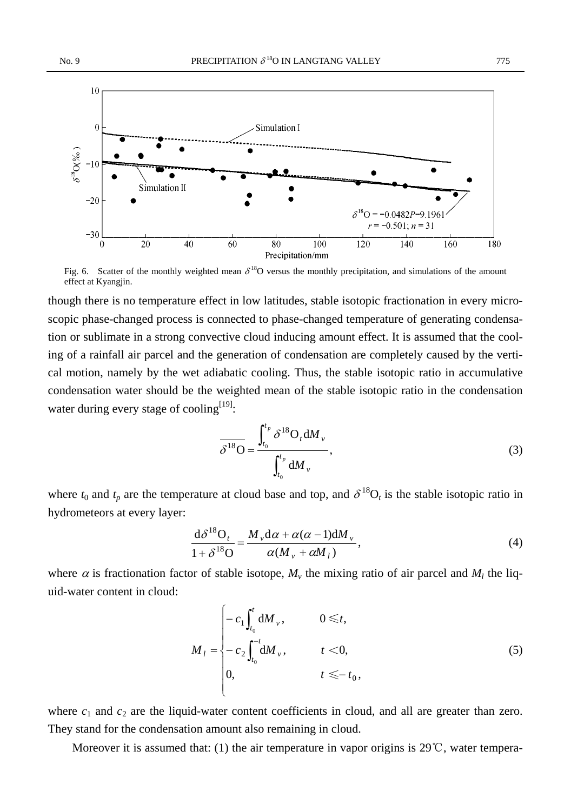

Fig. 6. Scatter of the monthly weighted mean  $\delta^{18}O$  versus the monthly precipitation, and simulations of the amount effect at Kyangjin.

though there is no temperature effect in low latitudes, stable isotopic fractionation in every microscopic phase-changed process is connected to phase-changed temperature of generating condensation or sublimate in a strong convective cloud inducing amount effect. It is assumed that the cooling of a rainfall air parcel and the generation of condensation are completely caused by the vertical motion, namely by the wet adiabatic cooling. Thus, the stable isotopic ratio in accumulative condensation water should be the weighted mean of the stable isotopic ratio in the condensation water during every stage of cooling<sup>[19]</sup>:

$$
\overline{\delta^{18}O} = \frac{\int_{t_0}^{t_p} \delta^{18}O_t \, \mathrm{d}M_v}{\int_{t_0}^{t_p} \, \mathrm{d}M_v},\tag{3}
$$

where  $t_0$  and  $t_p$  are the temperature at cloud base and top, and  $\delta^{18}O_t$  is the stable isotopic ratio in hydrometeors at every layer:

$$
\frac{\mathrm{d}\delta^{18}\mathrm{O}_{t}}{1+\delta^{18}\mathrm{O}} = \frac{M_{\nu}\mathrm{d}\alpha + \alpha(\alpha-1)\mathrm{d}M_{\nu}}{\alpha(M_{\nu} + \alpha M_{l})},\tag{4}
$$

where  $\alpha$  is fractionation factor of stable isotope,  $M_{\nu}$  the mixing ratio of air parcel and  $M_{\nu}$  the liquid-water content in cloud:

$$
M_{l} = \begin{cases} -c_{1} \int_{t_{0}}^{t} dM_{\nu}, & 0 \leq t, \\ -c_{2} \int_{t_{0}}^{-t} dM_{\nu}, & t < 0, \\ 0, & t \leq -t_{0}, \end{cases}
$$
(5)

where  $c_1$  and  $c_2$  are the liquid-water content coefficients in cloud, and all are greater than zero. They stand for the condensation amount also remaining in cloud.

Moreover it is assumed that: (1) the air temperature in vapor origins is 29°C, water tempera-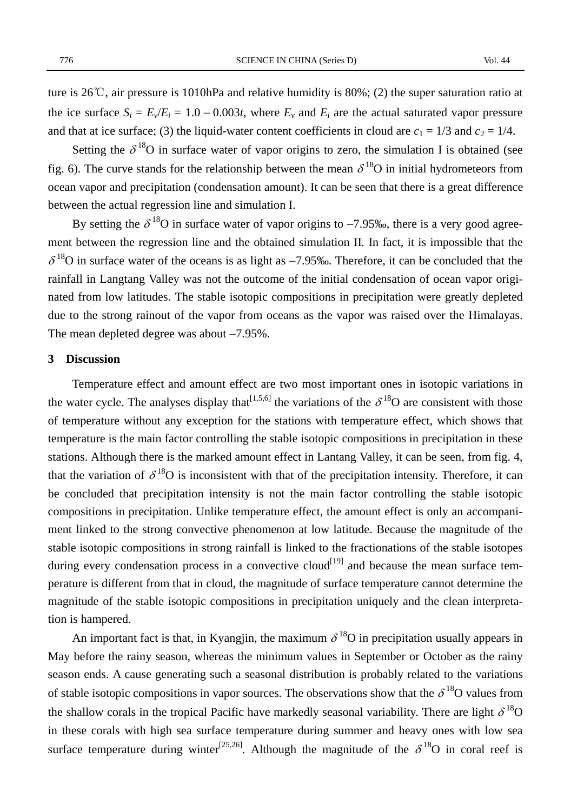ture is 26℃, air pressure is 1010hPa and relative humidity is 80%; (2) the super saturation ratio at the ice surface  $S_i = E_v/E_i = 1.0 - 0.003t$ , where  $E_v$  and  $E_i$  are the actual saturated vapor pressure and that at ice surface; (3) the liquid-water content coefficients in cloud are  $c_1 = 1/3$  and  $c_2 = 1/4$ .

Setting the  $\delta^{18}$ O in surface water of vapor origins to zero, the simulation I is obtained (see fig. 6). The curve stands for the relationship between the mean  $\delta^{18}$ O in initial hydrometeors from ocean vapor and precipitation (condensation amount). It can be seen that there is a great difference between the actual regression line and simulation I.

By setting the  $\delta^{18}O$  in surface water of vapor origins to -7.95‰, there is a very good agreement between the regression line and the obtained simulation II*.* In fact, it is impossible that the  $\delta^{18}$ O in surface water of the oceans is as light as -7.95‰. Therefore, it can be concluded that the rainfall in Langtang Valley was not the outcome of the initial condensation of ocean vapor originated from low latitudes. The stable isotopic compositions in precipitation were greatly depleted due to the strong rainout of the vapor from oceans as the vapor was raised over the Himalayas. The mean depleted degree was about −7.95%.

#### **3 Discussion**

Temperature effect and amount effect are two most important ones in isotopic variations in the water cycle. The analyses display that  $[1,5,6]$  the variations of the  $\delta^{18}$ O are consistent with those of temperature without any exception for the stations with temperature effect, which shows that temperature is the main factor controlling the stable isotopic compositions in precipitation in these stations. Although there is the marked amount effect in Lantang Valley, it can be seen, from fig. 4, that the variation of  $\delta^{18}O$  is inconsistent with that of the precipitation intensity. Therefore, it can be concluded that precipitation intensity is not the main factor controlling the stable isotopic compositions in precipitation. Unlike temperature effect, the amount effect is only an accompaniment linked to the strong convective phenomenon at low latitude. Because the magnitude of the stable isotopic compositions in strong rainfall is linked to the fractionations of the stable isotopes during every condensation process in a convective cloud<sup>[19]</sup> and because the mean surface temperature is different from that in cloud, the magnitude of surface temperature cannot determine the magnitude of the stable isotopic compositions in precipitation uniquely and the clean interpretation is hampered.

An important fact is that, in Kyangjin, the maximum  $\delta^{18}O$  in precipitation usually appears in May before the rainy season, whereas the minimum values in September or October as the rainy season ends. A cause generating such a seasonal distribution is probably related to the variations of stable isotopic compositions in vapor sources. The observations show that the  $\delta^{18}O$  values from the shallow corals in the tropical Pacific have markedly seasonal variability. There are light  $\delta^{18}O$ in these corals with high sea surface temperature during summer and heavy ones with low sea surface temperature during winter<sup>[25,26]</sup>. Although the magnitude of the  $\delta^{18}$ O in coral reef is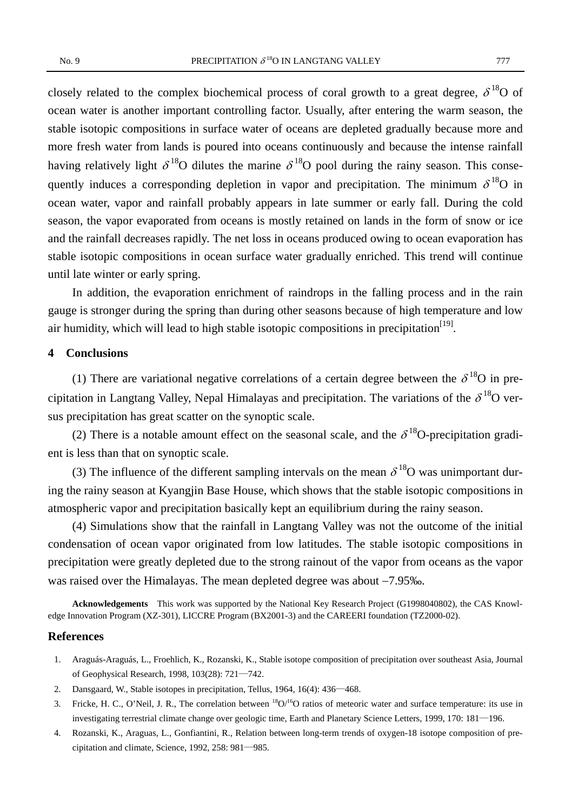closely related to the complex biochemical process of coral growth to a great degree,  $\delta^{18}O$  of ocean water is another important controlling factor. Usually, after entering the warm season, the stable isotopic compositions in surface water of oceans are depleted gradually because more and more fresh water from lands is poured into oceans continuously and because the intense rainfall having relatively light  $\delta^{18}O$  dilutes the marine  $\delta^{18}O$  pool during the rainy season. This consequently induces a corresponding depletion in vapor and precipitation. The minimum  $\delta^{18}O$  in ocean water, vapor and rainfall probably appears in late summer or early fall. During the cold season, the vapor evaporated from oceans is mostly retained on lands in the form of snow or ice and the rainfall decreases rapidly. The net loss in oceans produced owing to ocean evaporation has stable isotopic compositions in ocean surface water gradually enriched. This trend will continue until late winter or early spring.

In addition, the evaporation enrichment of raindrops in the falling process and in the rain gauge is stronger during the spring than during other seasons because of high temperature and low air humidity, which will lead to high stable isotopic compositions in precipitation<sup>[19]</sup>.

#### **4 Conclusions**

(1) There are variational negative correlations of a certain degree between the  $\delta^{18}O$  in precipitation in Langtang Valley, Nepal Himalayas and precipitation. The variations of the  $\delta^{18}O$  versus precipitation has great scatter on the synoptic scale.

(2) There is a notable amount effect on the seasonal scale, and the  $\delta^{18}$ O-precipitation gradient is less than that on synoptic scale.

(3) The influence of the different sampling intervals on the mean  $\delta^{18}$ O was unimportant during the rainy season at Kyangjin Base House, which shows that the stable isotopic compositions in atmospheric vapor and precipitation basically kept an equilibrium during the rainy season.

(4) Simulations show that the rainfall in Langtang Valley was not the outcome of the initial condensation of ocean vapor originated from low latitudes. The stable isotopic compositions in precipitation were greatly depleted due to the strong rainout of the vapor from oceans as the vapor was raised over the Himalayas. The mean depleted degree was about −7.95‰.

**Acknowledgements** This work was supported by the National Key Research Project (G1998040802), the CAS Knowledge Innovation Program (XZ-301), LICCRE Program (BX2001-3) and the CAREERI foundation (TZ2000-02).

#### **References**

- 1. Araguás-Araguás, L., Froehlich, K., Rozanski, K., Stable isotope composition of precipitation over southeast Asia, Journal of Geophysical Research, 1998, 103(28): 721—742.
- 2. Dansgaard, W., Stable isotopes in precipitation, Tellus, 1964, 16(4): 436—468.
- 3. Fricke, H. C., O'Neil, J. R., The correlation between  $\frac{18}{9}O$ <sup>16</sup>O ratios of meteoric water and surface temperature: its use in investigating terrestrial climate change over geologic time, Earth and Planetary Science Letters, 1999, 170: 181—196.
- 4. Rozanski, K., Araguas, L., Gonfiantini, R., Relation between long-term trends of oxygen-18 isotope composition of precipitation and climate, Science, 1992, 258: 981—985.